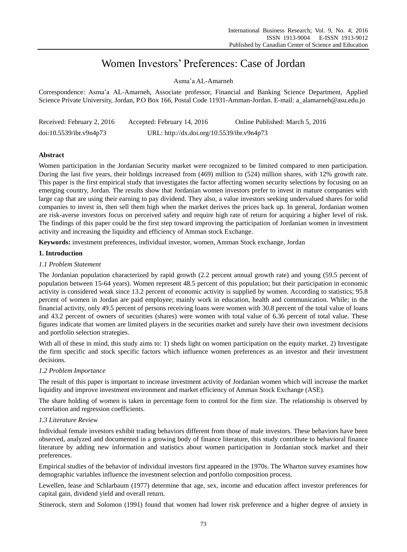# Women Investors' Preferences: Case of Jordan

Asma'a AL-Amarneh

Correspondence: Asma'a AL-Amarneh, Associate professor, Financial and Banking Science Department, Applied Science Private University, Jordan, P.O Box 166, Postal Code 11931-Amman-Jordan. E-mail: a\_alamarneh@asu.edu.jo

| Received: February 2, 2016 | Accepted: February 14, 2016                | Online Published: March 5, 2016 |
|----------------------------|--------------------------------------------|---------------------------------|
| doi:10.5539/ibr.v9n4p73    | URL: http://dx.doi.org/10.5539/ibr.v9n4p73 |                                 |

# **Abstract**

Women participation in the Jordanian Security market were recognized to be limited compared to men participation. During the last five years, their holdings increased from (469) million to (524) million shares, with 12% growth rate. This paper is the first empirical study that investigates the factor affecting women security selections by focusing on an emerging country, Jordan. The results show that Jordanian women investors prefer to invest in mature companies with large cap that are using their earning to pay dividend. They also, a value investors seeking undervalued shares for solid companies to invest in, then sell them high when the market derives the prices back up. In general, Jordanian women are risk-averse investors focus on perceived safety and require high rate of return for acquiring a higher level of risk. The findings of this paper could be the first step toward improving the participation of Jordanian women in investment activity and increasing the liquidity and efficiency of Amman stock Exchange.

**Keywords:** investment preferences, individual investor, women, Amman Stock exchange, Jordan

## **1. Introduction**

## *1.1 Problem Statement*

The Jordanian population characterized by rapid growth (2.2 percent annual growth rate) and young (59.5 percent of population between 15-64 years). Women represent 48.5 percent of this population; but their participation in economic activity is considered weak since 13.2 percent of economic activity is supplied by women. According to statistics; 95.8 percent of women in Jordan are paid employee; mainly work in education, health and communication. While; in the financial activity, only 49.5 percent of persons receiving loans were women with 30.8 percent of the total value of loans and 43.2 percent of owners of securities (shares) were women with total value of 6.36 percent of total value. These figures indicate that women are limited players in the securities market and surely have their own investment decisions and portfolio selection strategies.

With all of these in mind, this study aims to: 1) sheds light on women participation on the equity market. 2) Investigate the firm specific and stock specific factors which influence women preferences as an investor and their investment decisions.

# *1.2 Problem Importance*

The result of this paper is important to increase investment activity of Jordanian women which will increase the market liquidity and improve investment environment and market efficiency of Amman Stock Exchange (ASE).

The share holding of women is taken in percentage form to control for the firm size. The relationship is observed by correlation and regression coefficients.

## *1.3 Literature Review*

Individual female investors exhibit trading behaviors different from those of male investors. These behaviors have been observed, analyzed and documented in a growing body of finance literature, this study contribute to behavioral finance literature by adding new information and statistics about women participation in Jordanian stock market and their preferences.

Empirical studies of the behavior of individual investors first appeared in the 1970s. The Wharton survey examines how demographic variables influence the investment selection and portfolio composition process.

Lewellen, lease and Schlarbaum (1977) determine that age, sex, income and education affect investor preferences for capital gain, dividend yield and overall return.

Stinerock, stern and Solomon (1991) found that women had lower risk preference and a higher degree of anxiety in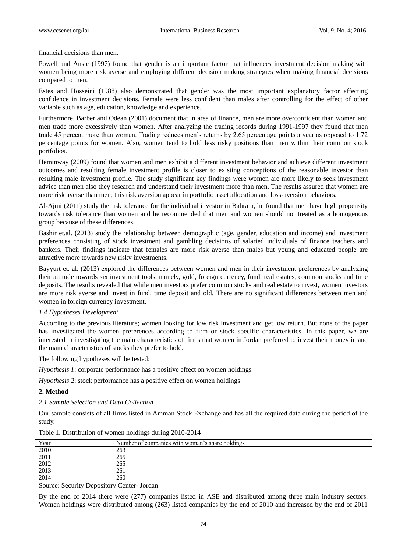financial decisions than men.

Powell and Ansic (1997) found that gender is an important factor that influences investment decision making with women being more risk averse and employing different decision making strategies when making financial decisions compared to men.

Estes and Hosseini (1988) also demonstrated that gender was the most important explanatory factor affecting confidence in investment decisions. Female were less confident than males after controlling for the effect of other variable such as age, education, knowledge and experience.

Furthermore, Barber and Odean (2001) document that in area of finance, men are more overconfident than women and men trade more excessively than women. After analyzing the trading records during 1991-1997 they found that men trade 45 percent more than women. Trading reduces men's returns by 2.65 percentage points a year as opposed to 1.72 percentage points for women. Also, women tend to hold less risky positions than men within their common stock portfolios.

Heminway (2009) found that women and men exhibit a different investment behavior and achieve different investment outcomes and resulting female investment profile is closer to existing conceptions of the reasonable investor than resulting male investment profile. The study significant key findings were women are more likely to seek investment advice than men also they research and understand their investment more than men. The results assured that women are more risk averse than men; this risk aversion appear in portfolio asset allocation and loss-aversion behaviors.

Al-Ajmi (2011) study the risk tolerance for the individual investor in Bahrain, he found that men have high propensity towards risk tolerance than women and he recommended that men and women should not treated as a homogenous group because of these differences.

Bashir et.al. (2013) study the relationship between demographic (age, gender, education and income) and investment preferences consisting of stock investment and gambling decisions of salaried individuals of finance teachers and bankers. Their findings indicate that females are more risk averse than males but young and educated people are attractive more towards new risky investments.

Bayyurt et. al. (2013) explored the differences between women and men in their investment preferences by analyzing their attitude towards six investment tools, namely, gold, foreign currency, fund, real estates, common stocks and time deposits. The results revealed that while men investors prefer common stocks and real estate to invest, women investors are more risk averse and invest in fund, time deposit and old. There are no significant differences between men and women in foreign currency investment.

## *1.4 Hypotheses Development*

According to the previous literature; women looking for low risk investment and get low return. But none of the paper has investigated the women preferences according to firm or stock specific characteristics. In this paper, we are interested in investigating the main characteristics of firms that women in Jordan preferred to invest their money in and the main characteristics of stocks they prefer to hold.

The following hypotheses will be tested:

*Hypothesis 1*: corporate performance has a positive effect on women holdings

*Hypothesis 2*: stock performance has a positive effect on women holdings

## **2. Method**

*2.1 Sample Selection and Data Collection*

Our sample consists of all firms listed in Amman Stock Exchange and has all the required data during the period of the study.

| Year                                                | Number of companies with woman's share holdings |
|-----------------------------------------------------|-------------------------------------------------|
| 2010                                                | 263                                             |
| 2011                                                | 265                                             |
|                                                     | 265                                             |
| $\begin{array}{c} 2012 \\ 2013 \\ 2014 \end{array}$ | 261                                             |
|                                                     | 260                                             |

Table 1. Distribution of women holdings during 2010-2014

Source: Security Depository Center- Jordan

By the end of 2014 there were (277) companies listed in ASE and distributed among three main industry sectors. Women holdings were distributed among (263) listed companies by the end of 2010 and increased by the end of 2011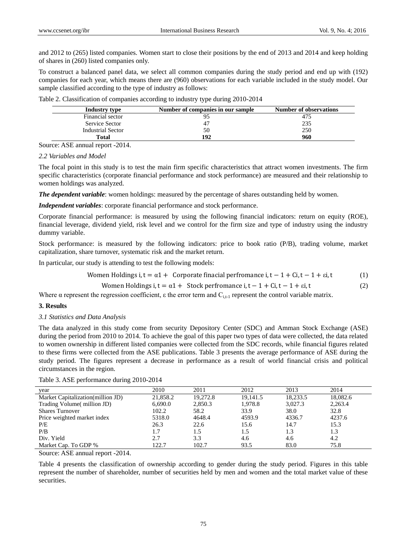and 2012 to (265) listed companies. Women start to close their positions by the end of 2013 and 2014 and keep holding of shares in (260) listed companies only.

To construct a balanced panel data, we select all common companies during the study period and end up with (192) companies for each year, which means there are (960) observations for each variable included in the study model. Our sample classified according to the type of industry as follows:

| Industry type            | Number of companies in our sample | <b>Number of observations</b> |
|--------------------------|-----------------------------------|-------------------------------|
| Financial sector         |                                   | 475                           |
| Service Sector           | 4 <sup>7</sup>                    | 235                           |
| <b>Industrial Sector</b> | 50                                | 250                           |
| Total                    | 192                               | 960                           |

Table 2. Classification of companies according to industry type during 2010-2014

Source: ASE annual report -2014.

#### *2.2 Variables and Model*

The focal point in this study is to test the main firm specific characteristics that attract women investments. The firm specific characteristics (corporate financial performance and stock performance) are measured and their relationship to women holdings was analyzed.

*The dependent variable*: women holdings: measured by the percentage of shares outstanding held by women.

*Independent variables*: corporate financial performance and stock performance.

Corporate financial performance: is measured by using the following financial indicators: return on equity (ROE), financial leverage, dividend yield, risk level and we control for the firm size and type of industry using the industry dummy variable.

Stock performance: is measured by the following indicators: price to book ratio (P/B), trading volume, market capitalization, share turnover, systematic risk and the market return.

In particular, our study is attending to test the following models:

$$
Women Holdings i, t = \alpha 1 + \text{ Corporate financial performance } i, t - 1 + Ci, t - 1 + \varepsilon i, t \tag{1}
$$

$$
Women\;Holdings\; i, t = \alpha 1 + Stock\; performance\; i, t - 1 + Ci, t - 1 + \varepsilon i, t \tag{2}
$$

Where  $\alpha$  represent the regression coefficient,  $\varepsilon$  the error term and  $C_{i,t-1}$  represent the control variable matrix.

## **3. Results**

## *3.1 Statistics and Data Analysis*

The data analyzed in this study come from security Depository Center (SDC) and Amman Stock Exchange (ASE) during the period from 2010 to 2014. To achieve the goal of this paper two types of data were collected, the data related to women ownership in different listed companies were collected from the SDC records, while financial figures related to these firms were collected from the ASE publications. Table 3 presents the average performance of ASE during the study period. The figures represent a decrease in performance as a result of world financial crisis and political circumstances in the region.

Table 3. ASE performance during 2010-2014

| year                               | 2010     | 2011     | 2012     | 2013     | 2014     |
|------------------------------------|----------|----------|----------|----------|----------|
| Market Capitalization (million JD) | 21,858.2 | 19.272.8 | 19.141.5 | 18,233.5 | 18,082.6 |
| Trading Volume (million JD)        | 6,690.0  | 2,850.3  | 1.978.8  | 3,027.3  | 2,263.4  |
| <b>Shares Turnover</b>             | 102.2    | 58.2     | 33.9     | 38.0     | 32.8     |
| Price weighted market index        | 5318.0   | 4648.4   | 4593.9   | 4336.7   | 4237.6   |
| P/E                                | 26.3     | 22.6     | 15.6     | 14.7     | 15.3     |
| P/B                                | 1.7      | 1.5      | 1.5      | 1.3      | 1.3      |
| Div. Yield                         | 2.7      | 3.3      | 4.6      | 4.6      | 4.2      |
| Market Cap. To GDP %               | 122.7    | 102.7    | 93.5     | 83.0     | 75.8     |

Source: ASE annual report -2014.

Table 4 presents the classification of ownership according to gender during the study period. Figures in this table represent the number of shareholder, number of securities held by men and women and the total market value of these securities.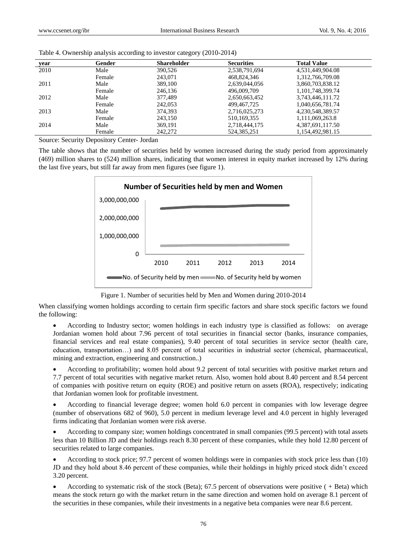| vear | Gender | <b>Shareholder</b> | <b>Securities</b> | <b>Total Value</b> |
|------|--------|--------------------|-------------------|--------------------|
| 2010 | Male   | 390.526            | 2,538,791,694     | 4,531,449,904.08   |
|      | Female | 243,071            | 468,824,346       | 1,312,766,709.08   |
| 2011 | Male   | 389,100            | 2,639,044,056     | 3,860,703,838.12   |
|      | Female | 246.136            | 496,009,709       | 1,101,748,399.74   |
| 2012 | Male   | 377.489            | 2,650,663,452     | 3,743,446,111.72   |
|      | Female | 242,053            | 499.467.725       | 1,040,656,781.74   |
| 2013 | Male   | 374,393            | 2,716,025,273     | 4,230,548,389.57   |
|      | Female | 243.150            | 510, 169, 355     | 1,111,069,263.8    |
| 2014 | Male   | 369.191            | 2,718,444,175     | 4,387,691,117.50   |
|      | Female | 242,272            | 524,385,251       | 1.154.492.981.15   |

Table 4. Ownership analysis according to investor category (2010-2014)

Source: Security Depository Center- Jordan

The table shows that the number of securities held by women increased during the study period from approximately (469) million shares to (524) million shares, indicating that women interest in equity market increased by 12% during the last five years, but still far away from men figures (see figure 1).



Figure 1. Number of securities held by Men and Women during 2010-2014

When classifying women holdings according to certain firm specific factors and share stock specific factors we found the following:

 According to Industry sector; women holdings in each industry type is classified as follows: on average Jordanian women hold about 7.96 percent of total securities in financial sector (banks, insurance companies, financial services and real estate companies), 9.40 percent of total securities in service sector (health care, education, transportation…) and 8.05 percent of total securities in industrial sector (chemical, pharmaceutical, mining and extraction, engineering and construction..)

 According to profitability; women hold about 9.2 percent of total securities with positive market return and 7.7 percent of total securities with negative market return. Also, women hold about 8.40 percent and 8.54 percent of companies with positive return on equity (ROE) and positive return on assets (ROA), respectively; indicating that Jordanian women look for profitable investment.

 According to financial leverage degree; women hold 6.0 percent in companies with low leverage degree (number of observations 682 of 960), 5.0 percent in medium leverage level and 4.0 percent in highly leveraged firms indicating that Jordanian women were risk averse.

 According to company size; women holdings concentrated in small companies (99.5 percent) with total assets less than 10 Billion JD and their holdings reach 8.30 percent of these companies, while they hold 12.80 percent of securities related to large companies.

 According to stock price; 97.7 percent of women holdings were in companies with stock price less than (10) JD and they hold about 8.46 percent of these companies, while their holdings in highly priced stock didn't exceed 3.20 percent.

 According to systematic risk of the stock (Beta); 67.5 percent of observations were positive ( + Beta) which means the stock return go with the market return in the same direction and women hold on average 8.1 percent of the securities in these companies, while their investments in a negative beta companies were near 8.6 percent.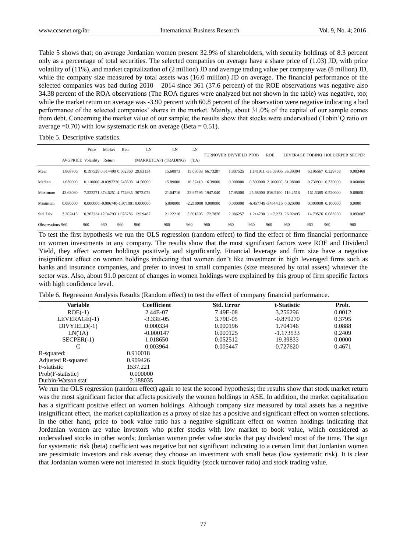Table 5 shows that; on average Jordanian women present 32.9% of shareholders, with security holdings of 8.3 percent only as a percentage of total securities. The selected companies on average have a share price of (1.03) JD, with price volatility of (11%), and market capitalization of (2 million) JD and average trading value per company was (8 million) JD, while the company size measured by total assets was (16.0 million) JD on average. The financial performance of the selected companies was bad during 2010 – 2014 since 361 (37.6 percent) of the ROE observations was negative also 34.38 percent of the ROA observations (The ROA figures were analyzed but not shown in the table) was negative, too; while the market return on average was -3.90 percent with 60.8 percent of the observation were negative indicating a bad performance of the selected companies' shares in the market. Mainly, about 31.0% of the capital of our sample comes from debt. Concerning the market value of our sample; the results show that stocks were undervalued (Tobin'Q ratio on average  $=0.70$ ) with low systematic risk on average (Beta  $= 0.51$ ).

Table 5. Descriptive statistics.

|                  |                            | Price                                | Market | Beta | LN                    | LN       | LN    |                               |          |     |            |                                 |     |                                  |          |
|------------------|----------------------------|--------------------------------------|--------|------|-----------------------|----------|-------|-------------------------------|----------|-----|------------|---------------------------------|-----|----------------------------------|----------|
|                  | <b>AVGPRICE Volatility</b> |                                      | Return |      | (MARKETCAP) (TRADING) |          | (T.A) | <b>TURNOVER DIVYIELD PTOB</b> |          |     | <b>ROE</b> |                                 |     | LEVERAGE TOBINO HOLDERPER SECPER |          |
| Mean             | 1.868706                   | 0.197529 0.514490 0.502360 29.83134  |        |      |                       | 15.60073 |       | 15.03033 66.73287             | 1.807525 |     |            | 1.141911 -35.03905 36.39304     |     | 6.196567 0.329758                | 0.083468 |
| Median           | 1.030000                   | 0.110000 -0.0392270.248608 14.56000  |        |      |                       | 15,89000 |       | 16.57410 16.39000             | 0.000000 |     |            | 0.890000 2.100000 31.08000      |     | 0.730931 0.330000                | 0.060000 |
| Maximum          | 43.63080                   | 7.522271 374.6251 4.774935 3073.072  |        |      |                       | 21.04716 |       | 23.97595 1947.040             | 17.95000 |     |            | 25.68000 816.5100 119.2518      |     | 161.5385 0.520000                | 0.68000  |
| Minimum          | 0.080000                   | 0.000000 -0.986740-1.971001 0.000000 |        |      |                       | 5.000000 |       | $-2.210000$ $0.000000$        | 0.000000 |     |            | $-6.457749 - 34544.15$ 0.020000 |     | 0.000000 0.100000                | 0.0000   |
| Std. Dev.        | 3.302415                   | 0.367234 12.34793 1.028786 125.9487  |        |      |                       | 2.122216 |       | 5.891805 172.7876             | 2.986257 |     |            | 1.214790 1117.273 26.92495      |     | 14.79576 0.083530                | 0.093087 |
| Observations 960 |                            | 960                                  | 960    | 960  | 960                   | 960      | 960   | 960                           | 960      | 960 | 960        | 960                             | 960 | 960                              | 960      |

To test the first hypothesis we run the OLS regression (random effect) to find the effect of firm financial performance on women investments in any company. The results show that the most significant factors were ROE and Dividend Yield, they affect women holdings positively and significantly. Financial leverage and firm size have a negative insignificant effect on women holdings indicating that women don't like investment in high leveraged firms such as banks and insurance companies, and prefer to invest in small companies (size measured by total assets) whatever the sector was. Also, about 91.0 percent of changes in women holdings were explained by this group of firm specific factors with high confidence level.

Table 6. Regression Analysis Results (Random effect) to test the effect of company financial performance.

| Variable                  | Coefficient | <b>Std. Error</b> | t-Statistic | Prob.  |
|---------------------------|-------------|-------------------|-------------|--------|
| $ROE(-1)$                 | 2.44E-07    | 7.49E-08          | 3.256296    | 0.0012 |
| LEVERAGE(-1)              | $-3.33E-05$ | 3.79E-05          | $-0.879270$ | 0.3795 |
| $DIVYIED(-1)$             | 0.000334    | 0.000196          | 1.704146    | 0.0888 |
| LN(TA)                    | $-0.000147$ | 0.000125          | $-1.173533$ | 0.2409 |
| $SECPER(-1)$              | 1.018650    | 0.052512          | 19.39833    | 0.0000 |
|                           | 0.003964    | 0.005447          | 0.727620    | 0.4671 |
| R-squared:                | 0.910018    |                   |             |        |
| <b>Adjusted R-squared</b> | 0.909426    |                   |             |        |
| F-statistic               | 1537.221    |                   |             |        |
| Prob(F-statistic)         | 0.000000    |                   |             |        |
| Durbin-Watson stat        | 2.188035    |                   |             |        |

We run the OLS regression (random effect) again to test the second hypothesis; the results show that stock market return was the most significant factor that affects positively the women holdings in ASE. In addition, the market capitalization has a significant positive effect on women holdings. Although company size measured by total assets has a negative insignificant effect, the market capitalization as a proxy of size has a positive and significant effect on women selections. In the other hand, price to book value ratio has a negative significant effect on women holdings indicating that Jordanian women are value investors who prefer stocks with low market to book value, which considered as undervalued stocks in other words; Jordanian women prefer value stocks that pay dividend most of the time. The sign for systematic risk (beta) coefficient was negative but not significant indicating to a certain limit that Jordanian women are pessimistic investors and risk averse; they choose an investment with small betas (low systematic risk). It is clear that Jordanian women were not interested in stock liquidity (stock turnover ratio) and stock trading value.